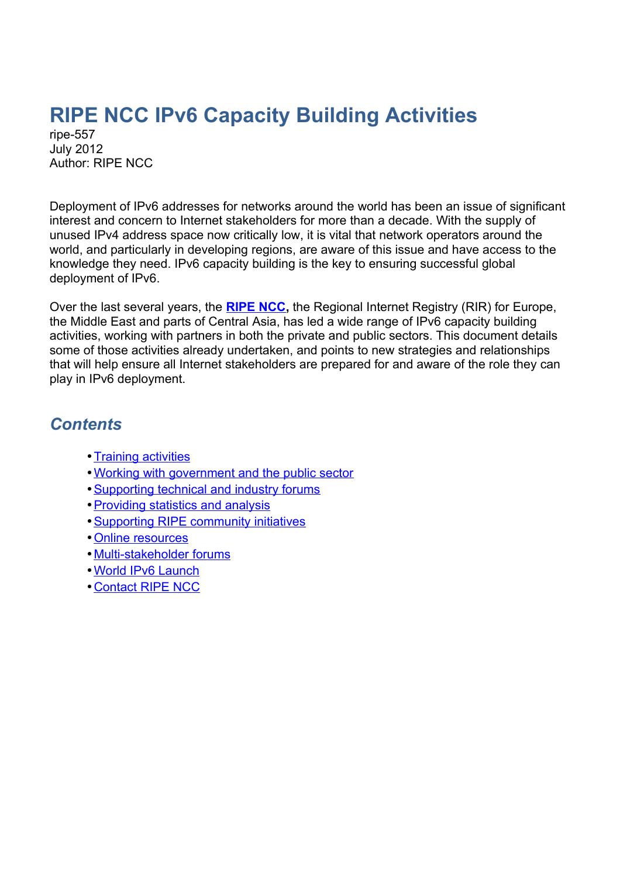# **RIPE NCC IPv6 Capacity Building Activities**

ripe-557 July 2012 Author: RIPE NCC

Deployment of IPv6 addresses for networks around the world has been an issue of significant interest and concern to Internet stakeholders for more than a decade. With the supply of unused IPv4 address space now critically low, it is vital that network operators around the world, and particularly in developing regions, are aware of this issue and have access to the knowledge they need. IPv6 capacity building is the key to ensuring successful global deployment of IPv6.

Over the last several years, the **[RIPE NCC,](http://www.ripe.net/)** the Regional Internet Registry (RIR) for Europe, the Middle East and parts of Central Asia, has led a wide range of IPv6 capacity building activities, working with partners in both the private and public sectors. This document details some of those activities already undertaken, and points to new strategies and relationships that will help ensure all Internet stakeholders are prepared for and aware of the role they can play in IPv6 deployment.

## *Contents*

- • [Training activities](#page-1-1)
- [Working with government and the public sector](#page-1-0)
- [Supporting technical and industry forums](#page-2-0)
- [Providing statistics and analysis](#page-3-2)
- [Supporting RIPE community initiatives](#page-3-1)
- • [Online resources](#page-3-0)
- [Multi-stakeholder forums](#page-4-1)
- • [World IPv6 Launch](#page-4-0)
- • [Contact RIPE NCC](#page-5-0)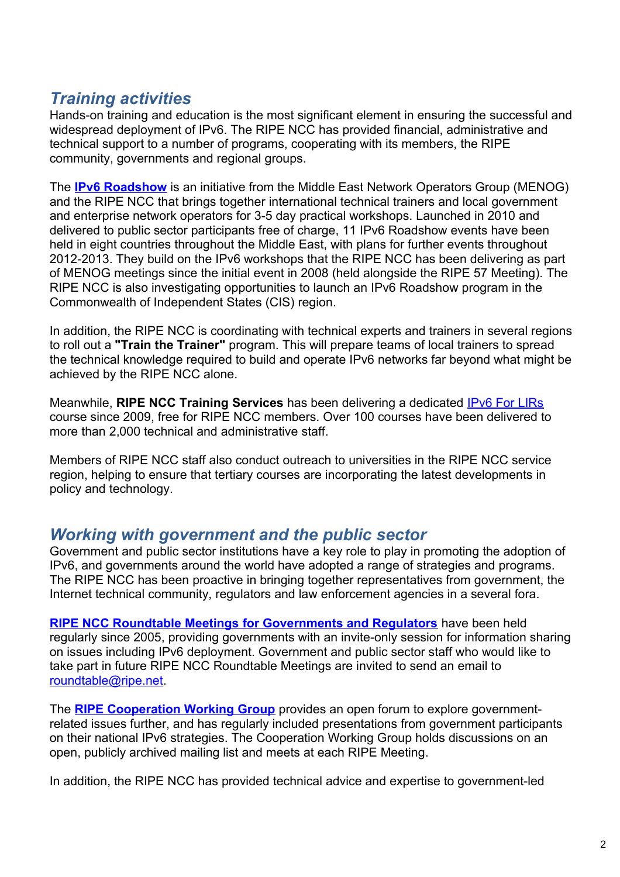## <span id="page-1-1"></span>*Training activities*

Hands-on training and education is the most significant element in ensuring the successful and widespread deployment of IPv6. The RIPE NCC has provided financial, administrative and technical support to a number of programs, cooperating with its members, the RIPE community, governments and regional groups.

The **[IPv6 Roadshow](http://www.menog.net/IPv6-roadshow)** is an initiative from the Middle East Network Operators Group (MENOG) and the RIPE NCC that brings together international technical trainers and local government and enterprise network operators for 3-5 day practical workshops. Launched in 2010 and delivered to public sector participants free of charge, 11 IPv6 Roadshow events have been held in eight countries throughout the Middle East, with plans for further events throughout 2012-2013. They build on the IPv6 workshops that the RIPE NCC has been delivering as part of MENOG meetings since the initial event in 2008 (held alongside the RIPE 57 Meeting). The RIPE NCC is also investigating opportunities to launch an IPv6 Roadshow program in the Commonwealth of Independent States (CIS) region.

In addition, the RIPE NCC is coordinating with technical experts and trainers in several regions to roll out a **"Train the Trainer"** program. This will prepare teams of local trainers to spread the technical knowledge required to build and operate IPv6 networks far beyond what might be achieved by the RIPE NCC alone.

Meanwhile, **RIPE NCC Training Services** has been delivering a dedicated [IPv6 For LIRs](https://www.ripe.net/lir-services/training/courses/ipv6) course since 2009, free for RIPE NCC members. Over 100 courses have been delivered to more than 2,000 technical and administrative staff.

Members of RIPE NCC staff also conduct outreach to universities in the RIPE NCC service region, helping to ensure that tertiary courses are incorporating the latest developments in policy and technology.

#### <span id="page-1-0"></span>*Working with government and the public sector*

Government and public sector institutions have a key role to play in promoting the adoption of IPv6, and governments around the world have adopted a range of strategies and programs. The RIPE NCC has been proactive in bringing together representatives from government, the Internet technical community, regulators and law enforcement agencies in a several fora.

**[RIPE NCC Roundtable Meetings for Governments and Regulators](https://www.ripe.net/ripe/meetings/roundtable)** have been held regularly since 2005, providing governments with an invite-only session for information sharing on issues including IPv6 deployment. Government and public sector staff who would like to take part in future RIPE NCC Roundtable Meetings are invited to send an email to  [roundtable@ripe. net.](mailto:roundtable@ripe.net)

The **[RIPE Cooperation Working Group](https://www.ripe.net/ripe/groups/wg/coop)** provides an open forum to explore governmentrelated issues further, and has regularly included presentations from government participants on their national IPv6 strategies. The Cooperation Working Group holds discussions on an open, publicly archived mailing list and meets at each RIPE Meeting.

In addition, the RIPE NCC has provided technical advice and expertise to government-led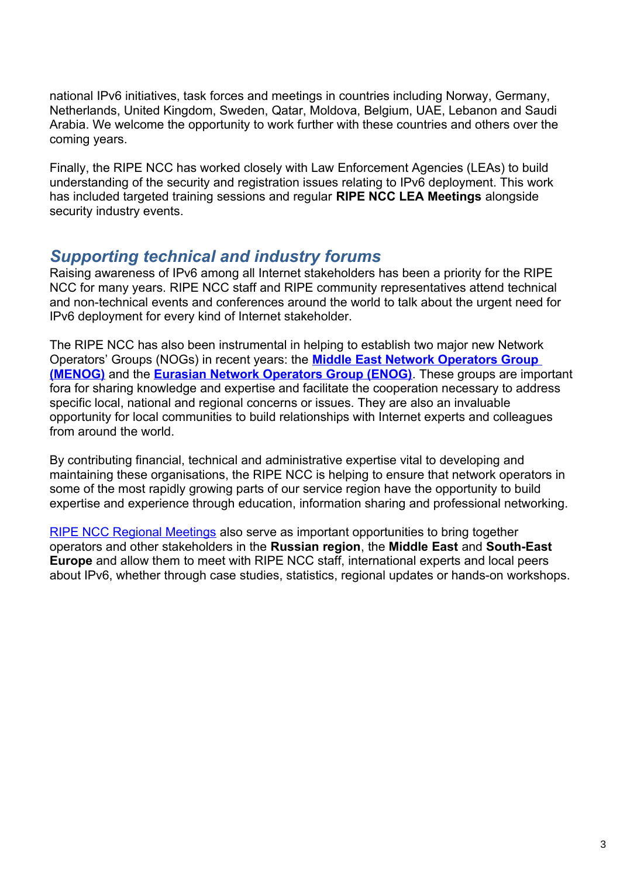national IPv6 initiatives, task forces and meetings in countries including Norway, Germany, Netherlands, United Kingdom, Sweden, Qatar, Moldova, Belgium, UAE, Lebanon and Saudi Arabia. We welcome the opportunity to work further with these countries and others over the coming years.

Finally, the RIPE NCC has worked closely with Law Enforcement Agencies (LEAs) to build understanding of the security and registration issues relating to IPv6 deployment. This work has included targeted training sessions and regular **RIPE NCC LEA Meetings** alongside security industry events.

#### <span id="page-2-0"></span>*Supporting technical and industry forums*

Raising awareness of IPv6 among all Internet stakeholders has been a priority for the RIPE NCC for many years. RIPE NCC staff and RIPE community representatives attend technical and non-technical events and conferences around the world to talk about the urgent need for IPv6 deployment for every kind of Internet stakeholder.

The RIPE NCC has also been instrumental in helping to establish two major new Network Operators' Groups (NOGs) in recent years: the **[Middle East Network Operators Group](http://www.menog.net/)  [\(MENOG\)](http://www.menog.net/)** and the **[Eurasian Network Operators Group \(ENOG\)](http://www.enog.org/)**. These groups are important fora for sharing knowledge and expertise and facilitate the cooperation necessary to address specific local, national and regional concerns or issues. They are also an invaluable opportunity for local communities to build relationships with Internet experts and colleagues from around the world.

By contributing financial, technical and administrative expertise vital to developing and maintaining these organisations, the RIPE NCC is helping to ensure that network operators in some of the most rapidly growing parts of our service region have the opportunity to build expertise and experience through education, information sharing and professional networking.

[RIPE NCC Regional Meetings](https://www.ripe.net/ripe/meetings/regional-meetings) also serve as important opportunities to bring together operators and other stakeholders in the **Russian region**, the **Middle East** and **South-East Europe** and allow them to meet with RIPE NCC staff, international experts and local peers about IPv6, whether through case studies, statistics, regional updates or hands-on workshops.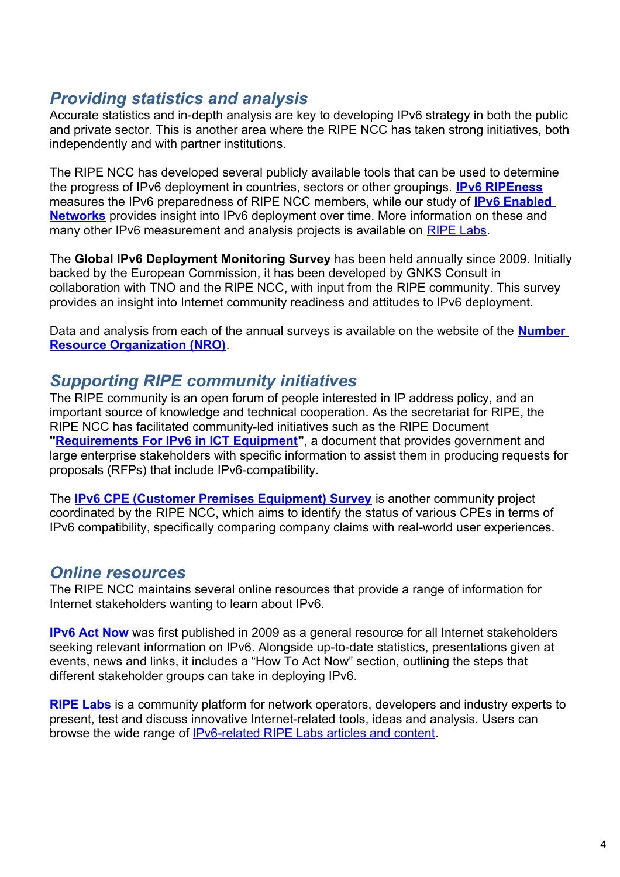## <span id="page-3-2"></span>*Providing statistics and analysis*

Accurate statistics and in-depth analysis are key to developing IPv6 strategy in both the public and private sector. This is another area where the RIPE NCC has taken strong initiatives, both independently and with partner institutions.

The RIPE NCC has developed several publicly available tools that can be used to determine the progress of IPv6 deployment in countries, sectors or other groupings. **[IPv6 RIPEness](http://ipv6ripeness.ripe.net/)** measures the IPv6 preparedness of RIPE NCC members, while our study of **[IPv6 Enabled](http://v6asns.ripe.net/v/6)  [Networks](http://v6asns.ripe.net/v/6)** provides insight into IPv6 deployment over time. More information on these and many other IPv6 measurement and analysis projects is available on [RIPE Labs.](https://labs.ripe.net/)

The **Global IPv6 Deployment Monitoring Survey** has been held annually since 2009. Initially backed by the European Commission, it has been developed by GNKS Consult in collaboration with TNO and the RIPE NCC, with input from the RIPE community. This survey provides an insight into Internet community readiness and attitudes to IPv6 deployment.

Data and analysis from each of the annual surveys is available on the website of the **[Number](http://www.nro.net/ipv6)  [Resource Organization \(NRO\)](http://www.nro.net/ipv6)**.

#### <span id="page-3-1"></span>*Supporting RIPE community initiatives*

The RIPE community is an open forum of people interested in IP address policy, and an important source of knowledge and technical cooperation. As the secretariat for RIPE, the RIPE NCC has facilitated community-led initiatives such as the RIPE Document **["Requirements For IPv6 in ICT Equipment"](https://www.ripe.net/ripe/docs/ipv6-in-ict)**, a document that provides government and large enterprise stakeholders with specific information to assist them in producing requests for proposals (RFPs) that include IPv6-compatibility.

The **[IPv6 CPE \(Customer Premises Equipment\) Survey](https://labs.ripe.net/Members/mirjam/ipv6-cpe-surveys)** is another community project coordinated by the RIPE NCC, which aims to identify the status of various CPEs in terms of IPv6 compatibility, specifically comparing company claims with real-world user experiences.

#### <span id="page-3-0"></span>*Online resources*

The RIPE NCC maintains several online resources that provide a range of information for Internet stakeholders wanting to learn about IPv6.

**[IPv6 Act Now](http://www.ipv6actnow.org/)** was first published in 2009 as a general resource for all Internet stakeholders seeking relevant information on IPv6. Alongside up-to-date statistics, presentations given at events, news and links, it includes a "How To Act Now" section, outlining the steps that different stakeholder groups can take in deploying IPv6.

**[RIPE Labs](https://labs.ripe.net/)** is a community platform for network operators, developers and industry experts to present, test and discuss innovative Internet-related tools, ideas and analysis. Users can browse the wide range of **IPv6-related RIPE Labs articles and content**.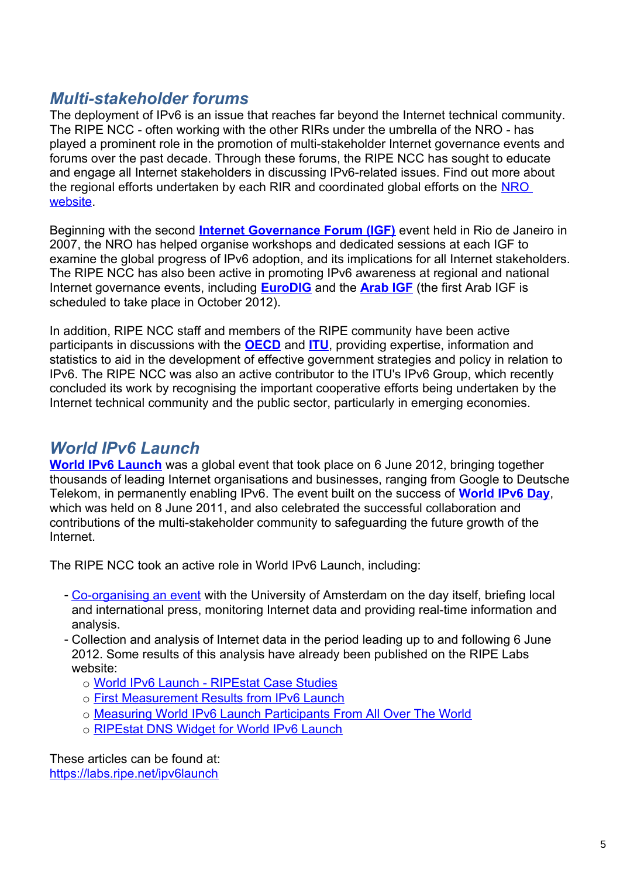#### <span id="page-4-1"></span>*Multi-stakeholder forums*

The deployment of IPv6 is an issue that reaches far beyond the Internet technical community. The RIPE NCC - often working with the other RIRs under the umbrella of the NRO - has played a prominent role in the promotion of multi-stakeholder Internet governance events and forums over the past decade. Through these forums, the RIPE NCC has sought to educate and engage all Internet stakeholders in discussing IPv6-related issues. Find out more about the regional efforts undertaken by each RIR and coordinated global efforts on the NRO [website.](http://www.nro.net/ipv6)

Beginning with the second **[Internet Governance Forum \(IGF\)](https://www.ripe.net/internet-coordination/internet-governance/multi-stakeholder-engagement/igf)** event held in Rio de Janeiro in 2007, the NRO has helped organise workshops and dedicated sessions at each IGF to examine the global progress of IPv6 adoption, and its implications for all Internet stakeholders. The RIPE NCC has also been active in promoting IPv6 awareness at regional and national Internet governance events, including **[EuroDIG](http://www.eurodig.org/)** and the **[Arab IGF](http://www.igfarab.org/)** (the first Arab IGF is scheduled to take place in October 2012).

In addition, RIPE NCC staff and members of the RIPE community have been active participants in discussions with the **[OECD](https://www.ripe.net/internet-coordination/internet-governance/multi-stakeholder-engagement/oecd)** and **[ITU](https://www.ripe.net/internet-coordination/internet-governance/multi-stakeholder-engagement/itu)**, providing expertise, information and statistics to aid in the development of effective government strategies and policy in relation to IPv6. The RIPE NCC was also an active contributor to the ITU's IPv6 Group, which recently concluded its work by recognising the important cooperative efforts being undertaken by the Internet technical community and the public sector, particularly in emerging economies.

## <span id="page-4-0"></span>*World IPv6 Launch*

**[World IPv6 Launch](http://www.worldipv6launch.org/)** was a global event that took place on 6 June 2012, bringing together thousands of leading Internet organisations and businesses, ranging from Google to Deutsche Telekom, in permanently enabling IPv6. The event built on the success of **[World IPv6 Day](http://www.internetsociety.org/ipv6/archive-2011-world-ipv6-day)**, which was held on 8 June 2011, and also celebrated the successful collaboration and contributions of the multi-stakeholder community to safeguarding the future growth of the Internet.

The RIPE NCC took an active role in World IPv6 Launch, including:

- - [Co-organising an event](file:///-%09http/::www.ripe.net:internet-coordination:press-centre:world-ipv6-launch-takes-centre-stage-at-amsterdams-science-park) with the University of Amsterdam on the day itself, briefing local and international press, monitoring Internet data and providing real-time information and analysis.
- Collection and analysis of Internet data in the period leading up to and following 6 June 2012. Some results of this analysis have already been published on the RIPE Labs website:
	- o [World IPv6 Launch RIPEstat Case Studies](https://labs.ripe.net/Members/becha/world-ipv6-launch-ripestat-case-studies)
	- o [First Measurement Results from IPv6 Launch](https://labs.ripe.net/Members/mirjam/first-results-from-ipv6-launch)
	- o [Measuring World IPv6 Launch Participants From All Over The World](https://labs.ripe.net/Members/emileaben/measuring-world-ipv6-launch-participants-from-all-over-the-world)
	- o [RIPEstat DNS Widget for World IPv6 Launch](https://labs.ripe.net/Members/becha/ripestat-dns-widget-for-world-ipv6-launch)

These articles can be found at: <https://labs.ripe.net/ipv6launch>